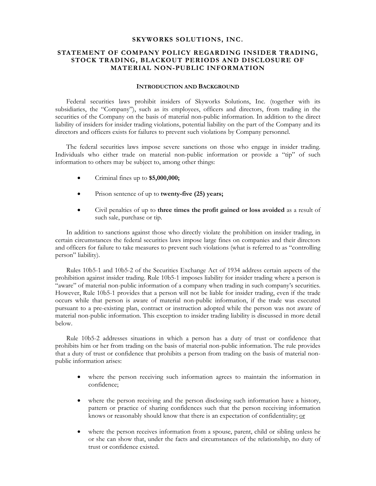### **SKYWORKS SOLUTIONS, INC.**

# **STATEMENT OF COMPANY POLICY REGARDING INSIDER TRADING, STOCK TRADING, BLACKOUT PERIODS AND DISCLOSURE OF MATERIAL NON-PUBLIC INFORMATION**

### **INTRODUCTION AND BACKGROUND**

Federal securities laws prohibit insiders of Skyworks Solutions, Inc. (together with its subsidiaries, the "Company"), such as its employees, officers and directors, from trading in the securities of the Company on the basis of material non-public information. In addition to the direct liability of insiders for insider trading violations, potential liability on the part of the Company and its directors and officers exists for failures to prevent such violations by Company personnel.

The federal securities laws impose severe sanctions on those who engage in insider trading. Individuals who either trade on material non-public information or provide a "tip" of such information to others may be subject to, among other things:

- Criminal fines up to **\$5,000,000;**
- Prison sentence of up to **twenty-five (25) years;**
- Civil penalties of up to **three times the profit gained or loss avoided** as a result of such sale, purchase or tip.

In addition to sanctions against those who directly violate the prohibition on insider trading, in certain circumstances the federal securities laws impose large fines on companies and their directors and officers for failure to take measures to prevent such violations (what is referred to as "controlling person" liability).

Rules 10b5-1 and 10b5-2 of the Securities Exchange Act of 1934 address certain aspects of the prohibition against insider trading. Rule 10b5-1 imposes liability for insider trading where a person is "aware" of material non-public information of a company when trading in such company's securities. However, Rule 10b5-1 provides that a person will not be liable for insider trading, even if the trade occurs while that person is aware of material non-public information, if the trade was executed pursuant to a pre-existing plan, contract or instruction adopted while the person was not aware of material non-public information. This exception to insider trading liability is discussed in more detail below.

Rule 10b5-2 addresses situations in which a person has a duty of trust or confidence that prohibits him or her from trading on the basis of material non-public information. The rule provides that a duty of trust or confidence that prohibits a person from trading on the basis of material nonpublic information arises:

- where the person receiving such information agrees to maintain the information in confidence;
- where the person receiving and the person disclosing such information have a history, pattern or practice of sharing confidences such that the person receiving information knows or reasonably should know that there is an expectation of confidentiality; or
- where the person receives information from a spouse, parent, child or sibling unless he or she can show that, under the facts and circumstances of the relationship, no duty of trust or confidence existed.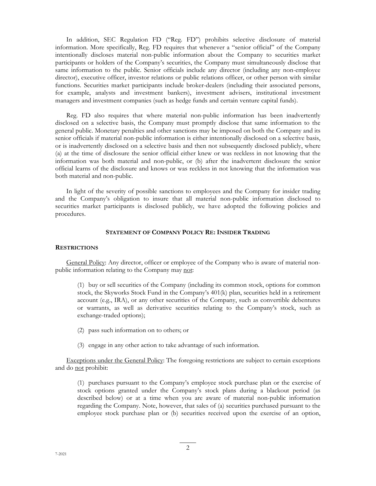In addition, SEC Regulation FD ("Reg. FD") prohibits selective disclosure of material information. More specifically, Reg. FD requires that whenever a "senior official" of the Company intentionally discloses material non-public information about the Company to securities market participants or holders of the Company's securities, the Company must simultaneously disclose that same information to the public. Senior officials include any director (including any non-employee director), executive officer, investor relations or public relations officer, or other person with similar functions. Securities market participants include broker-dealers (including their associated persons, for example, analysts and investment bankers), investment advisers, institutional investment managers and investment companies (such as hedge funds and certain venture capital funds).

Reg. FD also requires that where material non-public information has been inadvertently disclosed on a selective basis, the Company must promptly disclose that same information to the general public. Monetary penalties and other sanctions may be imposed on both the Company and its senior officials if material non-public information is either intentionally disclosed on a selective basis, or is inadvertently disclosed on a selective basis and then not subsequently disclosed publicly, where (a) at the time of disclosure the senior official either knew or was reckless in not knowing that the information was both material and non-public, or (b) after the inadvertent disclosure the senior official learns of the disclosure and knows or was reckless in not knowing that the information was both material and non-public.

In light of the severity of possible sanctions to employees and the Company for insider trading and the Company's obligation to insure that all material non-public information disclosed to securities market participants is disclosed publicly, we have adopted the following policies and procedures.

# **STATEMENT OF COMPANY POLICY RE: INSIDER TRADING**

#### **RESTRICTIONS**

General Policy: Any director, officer or employee of the Company who is aware of material nonpublic information relating to the Company may not:

(1) buy or sell securities of the Company (including its common stock, options for common stock, the Skyworks Stock Fund in the Company's 401(k) plan, securities held in a retirement account (e.g., IRA), or any other securities of the Company, such as convertible debentures or warrants, as well as derivative securities relating to the Company's stock, such as exchange-traded options);

- (2) pass such information on to others; or
- (3) engage in any other action to take advantage of such information.

Exceptions under the General Policy: The foregoing restrictions are subject to certain exceptions and do not prohibit:

(1) purchases pursuant to the Company's employee stock purchase plan or the exercise of stock options granted under the Company's stock plans during a blackout period (as described below) or at a time when you are aware of material non-public information regarding the Company. Note, however, that sales of (a) securities purchased pursuant to the employee stock purchase plan or (b) securities received upon the exercise of an option,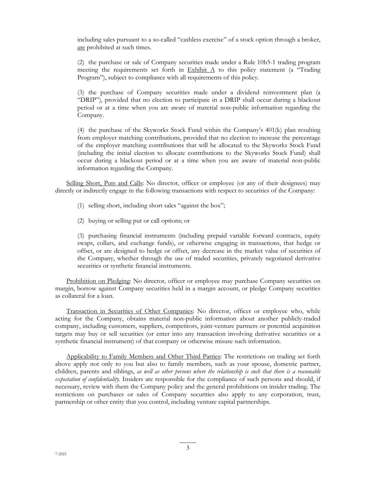including sales pursuant to a so-called "cashless exercise" of a stock option through a broker, are prohibited at such times.

(2) the purchase or sale of Company securities made under a Rule 10b5-1 trading program meeting the requirements set forth in  $Exhibit A$  to this policy statement (a "Trading") Program"), subject to compliance with all requirements of this policy.

(3) the purchase of Company securities made under a dividend reinvestment plan (a "DRIP"), provided that no election to participate in a DRIP shall occur during a blackout period or at a time when you are aware of material non-public information regarding the Company.

(4) the purchase of the Skyworks Stock Fund within the Company's 401(k) plan resulting from employer matching contributions, provided that no election to increase the percentage of the employer matching contributions that will be allocated to the Skyworks Stock Fund (including the initial election to allocate contributions to the Skyworks Stock Fund) shall occur during a blackout period or at a time when you are aware of material non-public information regarding the Company.

Selling Short, Puts and Calls: No director, officer or employee (or any of their designees) may directly or indirectly engage in the following transactions with respect to securities of the Company:

- (1) selling short, including short sales "against the box";
- (2) buying or selling put or call options; or

(3) purchasing financial instruments (including prepaid variable forward contracts, equity swaps, collars, and exchange funds), or otherwise engaging in transactions, that hedge or offset, or are designed to hedge or offset, any decrease in the market value of securities of the Company, whether through the use of traded securities, privately negotiated derivative securities or synthetic financial instruments.

Prohibition on Pledging: No director, officer or employee may purchase Company securities on margin, borrow against Company securities held in a margin account, or pledge Company securities as collateral for a loan.

Transaction in Securities of Other Companies: No director, officer or employee who, while acting for the Company, obtains material non-public information about another publicly-traded company, including customers, suppliers, competitors, joint-venture partners or potential acquisition targets may buy or sell securities (or enter into any transaction involving derivative securities or a synthetic financial instrument) of that company or otherwise misuse such information.

Applicability to Family Members and Other Third Parties: The restrictions on trading set forth above apply not only to you but also to family members, such as your spouse, domestic partner, children, parents and siblings, *as well as other persons where the relationship is such that there is a reasonable expectation of confidentiality.* Insiders are responsible for the compliance of such persons and should, if necessary, review with them the Company policy and the general prohibitions on insider trading. The restrictions on purchases or sales of Company securities also apply to any corporation, trust, partnership or other entity that you control, including venture capital partnerships.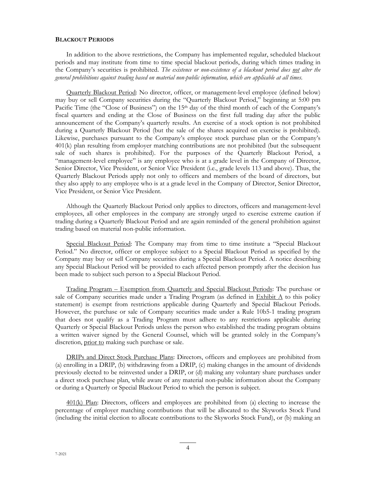### **BLACKOUT PERIODS**

In addition to the above restrictions, the Company has implemented regular, scheduled blackout periods and may institute from time to time special blackout periods, during which times trading in the Company's securities is prohibited. *The existence or non-existence of a blackout period does not alter the general prohibitions against trading based on material non-public information, which are applicable at all times.* 

Quarterly Blackout Period: No director, officer, or management-level employee (defined below) may buy or sell Company securities during the "Quarterly Blackout Period," beginning at 5:00 pm Pacific Time (the "Close of Business") on the 15<sup>th</sup> day of the third month of each of the Company's fiscal quarters and ending at the Close of Business on the first full trading day after the public announcement of the Company's quarterly results. An exercise of a stock option is not prohibited during a Quarterly Blackout Period (but the sale of the shares acquired on exercise is prohibited). Likewise, purchases pursuant to the Company's employee stock purchase plan or the Company's 401(k) plan resulting from employer matching contributions are not prohibited (but the subsequent sale of such shares is prohibited). For the purposes of the Quarterly Blackout Period, a "management-level employee" is any employee who is at a grade level in the Company of Director, Senior Director, Vice President, or Senior Vice President (i.e., grade levels 113 and above). Thus, the Quarterly Blackout Periods apply not only to officers and members of the board of directors, but they also apply to any employee who is at a grade level in the Company of Director, Senior Director, Vice President, or Senior Vice President.

Although the Quarterly Blackout Period only applies to directors, officers and management-level employees, all other employees in the company are strongly urged to exercise extreme caution if trading during a Quarterly Blackout Period and are again reminded of the general prohibition against trading based on material non-public information.

Special Blackout Period: The Company may from time to time institute a "Special Blackout Period." No director, officer or employee subject to a Special Blackout Period as specified by the Company may buy or sell Company securities during a Special Blackout Period. A notice describing any Special Blackout Period will be provided to each affected person promptly after the decision has been made to subject such person to a Special Blackout Period.

Trading Program – Exemption from Quarterly and Special Blackout Periods: The purchase or sale of Company securities made under a Trading Program (as defined in  $Exhibit A$  to this policy statement) is exempt from restrictions applicable during Quarterly and Special Blackout Periods. However, the purchase or sale of Company securities made under a Rule 10b5-1 trading program that does not qualify as a Trading Program must adhere to any restrictions applicable during Quarterly or Special Blackout Periods unless the person who established the trading program obtains a written waiver signed by the General Counsel, which will be granted solely in the Company's discretion, prior to making such purchase or sale.

DRIPs and Direct Stock Purchase Plans: Directors, officers and employees are prohibited from (a) enrolling in a DRIP, (b) withdrawing from a DRIP, (c) making changes in the amount of dividends previously elected to be reinvested under a DRIP, or (d) making any voluntary share purchases under a direct stock purchase plan, while aware of any material non-public information about the Company or during a Quarterly or Special Blackout Period to which the person is subject.

401(k) Plan: Directors, officers and employees are prohibited from (a) electing to increase the percentage of employer matching contributions that will be allocated to the Skyworks Stock Fund (including the initial election to allocate contributions to the Skyworks Stock Fund), or (b) making an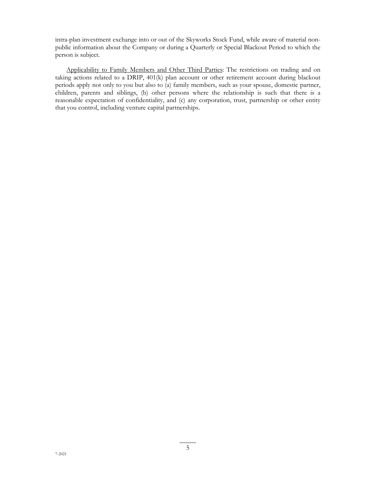intra-plan investment exchange into or out of the Skyworks Stock Fund, while aware of material nonpublic information about the Company or during a Quarterly or Special Blackout Period to which the person is subject.

Applicability to Family Members and Other Third Parties: The restrictions on trading and on taking actions related to a DRIP, 401(k) plan account or other retirement account during blackout periods apply not only to you but also to (a) family members, such as your spouse, domestic partner, children, parents and siblings, (b) other persons where the relationship is such that there is a reasonable expectation of confidentiality, and (c) any corporation, trust, partnership or other entity that you control, including venture capital partnerships.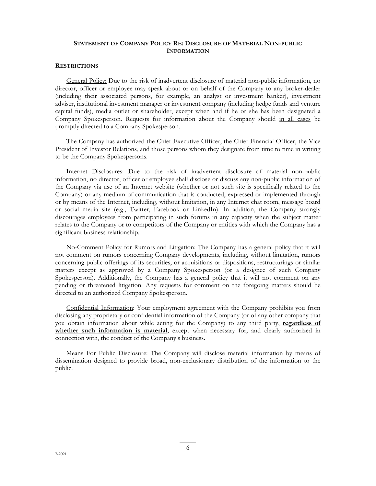# **STATEMENT OF COMPANY POLICY RE: DISCLOSURE OF MATERIAL NON-PUBLIC INFORMATION**

### **RESTRICTIONS**

General Policy: Due to the risk of inadvertent disclosure of material non-public information, no director, officer or employee may speak about or on behalf of the Company to any broker-dealer (including their associated persons, for example, an analyst or investment banker), investment adviser, institutional investment manager or investment company (including hedge funds and venture capital funds), media outlet or shareholder, except when and if he or she has been designated a Company Spokesperson. Requests for information about the Company should in all cases be promptly directed to a Company Spokesperson.

The Company has authorized the Chief Executive Officer, the Chief Financial Officer, the Vice President of Investor Relations, and those persons whom they designate from time to time in writing to be the Company Spokespersons.

Internet Disclosures: Due to the risk of inadvertent disclosure of material non-public information, no director, officer or employee shall disclose or discuss any non-public information of the Company via use of an Internet website (whether or not such site is specifically related to the Company) or any medium of communication that is conducted, expressed or implemented through or by means of the Internet, including, without limitation, in any Internet chat room, message board or social media site (e.g., Twitter, Facebook or LinkedIn). In addition, the Company strongly discourages employees from participating in such forums in any capacity when the subject matter relates to the Company or to competitors of the Company or entities with which the Company has a significant business relationship.

No-Comment Policy for Rumors and Litigation: The Company has a general policy that it will not comment on rumors concerning Company developments, including, without limitation, rumors concerning public offerings of its securities, or acquisitions or dispositions, restructurings or similar matters except as approved by a Company Spokesperson (or a designee of such Company Spokesperson). Additionally, the Company has a general policy that it will not comment on any pending or threatened litigation. Any requests for comment on the foregoing matters should be directed to an authorized Company Spokesperson.

Confidential Information: Your employment agreement with the Company prohibits you from disclosing any proprietary or confidential information of the Company (or of any other company that you obtain information about while acting for the Company) to any third party, **regardless of whether such information is material**, except when necessary for, and clearly authorized in connection with, the conduct of the Company's business.

Means For Public Disclosure: The Company will disclose material information by means of dissemination designed to provide broad, non-exclusionary distribution of the information to the public.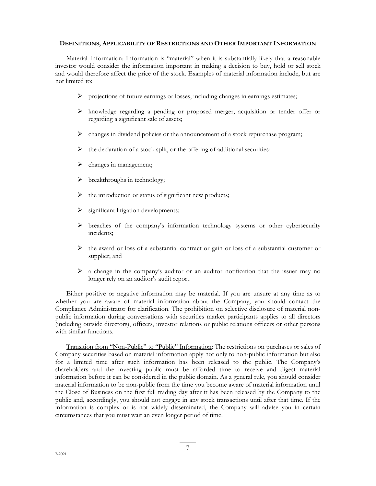### **DEFINITIONS, APPLICABILITY OF RESTRICTIONS AND OTHER IMPORTANT INFORMATION**

Material Information: Information is "material" when it is substantially likely that a reasonable investor would consider the information important in making a decision to buy, hold or sell stock and would therefore affect the price of the stock. Examples of material information include, but are not limited to:

- $\triangleright$  projections of future earnings or losses, including changes in earnings estimates;
- $\triangleright$  knowledge regarding a pending or proposed merger, acquisition or tender offer or regarding a significant sale of assets;
- $\triangleright$  changes in dividend policies or the announcement of a stock repurchase program;
- $\triangleright$  the declaration of a stock split, or the offering of additional securities;
- changes in management;
- breakthroughs in technology;
- $\triangleright$  the introduction or status of significant new products;
- significant litigation developments;
- $\triangleright$  breaches of the company's information technology systems or other cybersecurity incidents;
- $\triangleright$  the award or loss of a substantial contract or gain or loss of a substantial customer or supplier; and
- $\triangleright$  a change in the company's auditor or an auditor notification that the issuer may no longer rely on an auditor's audit report.

Either positive or negative information may be material. If you are unsure at any time as to whether you are aware of material information about the Company, you should contact the Compliance Administrator for clarification. The prohibition on selective disclosure of material nonpublic information during conversations with securities market participants applies to all directors (including outside directors), officers, investor relations or public relations officers or other persons with similar functions.

Transition from "Non-Public" to "Public" Information: The restrictions on purchases or sales of Company securities based on material information apply not only to non-public information but also for a limited time after such information has been released to the public. The Company's shareholders and the investing public must be afforded time to receive and digest material information before it can be considered in the public domain. As a general rule, you should consider material information to be non-public from the time you become aware of material information until the Close of Business on the first full trading day after it has been released by the Company to the public and, accordingly, you should not engage in any stock transactions until after that time. If the information is complex or is not widely disseminated, the Company will advise you in certain circumstances that you must wait an even longer period of time.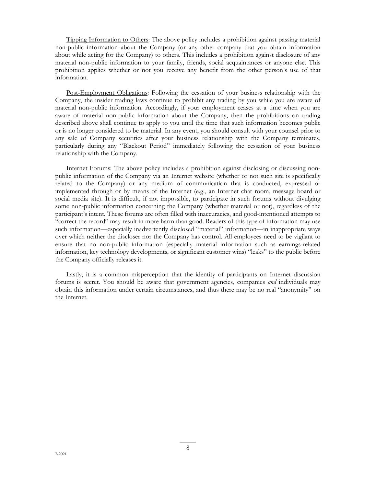Tipping Information to Others: The above policy includes a prohibition against passing material non-public information about the Company (or any other company that you obtain information about while acting for the Company) to others. This includes a prohibition against disclosure of any material non-public information to your family, friends, social acquaintances or anyone else. This prohibition applies whether or not you receive any benefit from the other person's use of that information.

Post-Employment Obligations: Following the cessation of your business relationship with the Company, the insider trading laws continue to prohibit any trading by you while you are aware of material non-public information. Accordingly, if your employment ceases at a time when you are aware of material non-public information about the Company, then the prohibitions on trading described above shall continue to apply to you until the time that such information becomes public or is no longer considered to be material. In any event, you should consult with your counsel prior to any sale of Company securities after your business relationship with the Company terminates, particularly during any "Blackout Period" immediately following the cessation of your business relationship with the Company.

Internet Forums: The above policy includes a prohibition against disclosing or discussing nonpublic information of the Company via an Internet website (whether or not such site is specifically related to the Company) or any medium of communication that is conducted, expressed or implemented through or by means of the Internet (e.g., an Internet chat room, message board or social media site). It is difficult, if not impossible, to participate in such forums without divulging some non-public information concerning the Company (whether material or not), regardless of the participant's intent. These forums are often filled with inaccuracies, and good-intentioned attempts to "correct the record" may result in more harm than good. Readers of this type of information may use such information—especially inadvertently disclosed "material" information—in inappropriate ways over which neither the discloser nor the Company has control. All employees need to be vigilant to ensure that no non-public information (especially material information such as earnings-related information, key technology developments, or significant customer wins) "leaks" to the public before the Company officially releases it.

Lastly, it is a common misperception that the identity of participants on Internet discussion forums is secret. You should be aware that government agencies, companies *and* individuals may obtain this information under certain circumstances, and thus there may be no real "anonymity" on the Internet.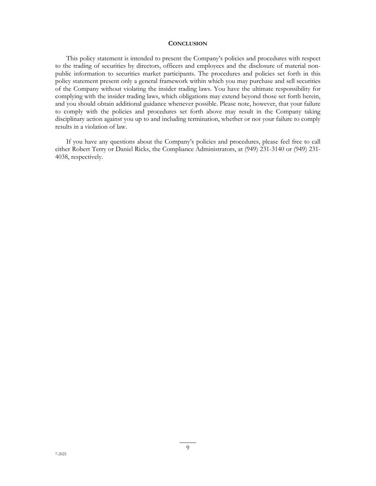### **CONCLUSION**

This policy statement is intended to present the Company's policies and procedures with respect to the trading of securities by directors, officers and employees and the disclosure of material nonpublic information to securities market participants. The procedures and policies set forth in this policy statement present only a general framework within which you may purchase and sell securities of the Company without violating the insider trading laws. You have the ultimate responsibility for complying with the insider trading laws, which obligations may extend beyond those set forth herein, and you should obtain additional guidance whenever possible. Please note, however, that your failure to comply with the policies and procedures set forth above may result in the Company taking disciplinary action against you up to and including termination, whether or not your failure to comply results in a violation of law.

If you have any questions about the Company's policies and procedures, please feel free to call either Robert Terry or Daniel Ricks, the Compliance Administrators, at (949) 231-3140 or (949) 231- 4038, respectively.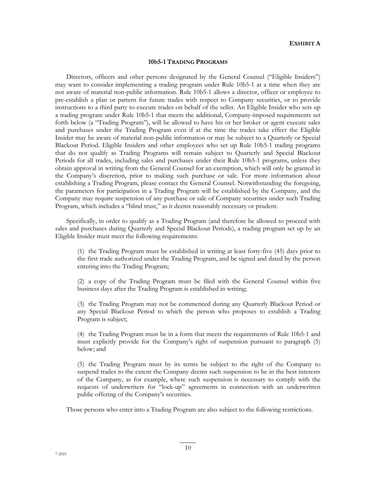### **EXHIBIT A**

#### **10b5-1 TRADING PROGRAMS**

Directors, officers and other persons designated by the General Counsel ("Eligible Insiders") may want to consider implementing a trading program under Rule 10b5-1 at a time when they are not aware of material non-public information. Rule 10b5-1 allows a director, officer or employee to pre-establish a plan or pattern for future trades with respect to Company securities, or to provide instructions to a third party to execute trades on behalf of the seller. An Eligible Insider who sets up a trading program under Rule 10b5-1 that meets the additional, Company-imposed requirements set forth below (a "Trading Program"), will be allowed to have his or her broker or agent execute sales and purchases under the Trading Program even if at the time the trades take effect the Eligible Insider may be aware of material non-public information or may be subject to a Quarterly or Special Blackout Period. Eligible Insiders and other employees who set up Rule 10b5-1 trading programs that do not qualify as Trading Programs will remain subject to Quarterly and Special Blackout Periods for all trades, including sales and purchases under their Rule 10b5-1 programs, unless they obtain approval in writing from the General Counsel for an exemption, which will only be granted in the Company's discretion, prior to making such purchase or sale. For more information about establishing a Trading Program, please contact the General Counsel. Notwithstanding the foregoing, the parameters for participation in a Trading Program will be established by the Company, and the Company may require suspension of any purchase or sale of Company securities under such Trading Program, which includes a "blind trust," as it deems reasonably necessary or prudent.

Specifically, in order to qualify as a Trading Program (and therefore be allowed to proceed with sales and purchases during Quarterly and Special Blackout Periods), a trading program set up by an Eligible Insider must meet the following requirements:

(1) the Trading Program must be established in writing at least forty-five (45) days prior to the first trade authorized under the Trading Program, and be signed and dated by the person entering into the Trading Program;

(2) a copy of the Trading Program must be filed with the General Counsel within five business days after the Trading Program is established in writing;

(3) the Trading Program may not be commenced during any Quarterly Blackout Period or any Special Blackout Period to which the person who proposes to establish a Trading Program is subject;

(4) the Trading Program must be in a form that meets the requirements of Rule 10b5-1 and must explicitly provide for the Company's right of suspension pursuant to paragraph (5) below; and

(5) the Trading Program must by its terms be subject to the right of the Company to suspend trades to the extent the Company deems such suspension to be in the best interests of the Company, as for example, where such suspension is necessary to comply with the requests of underwriters for "lock-up" agreements in connection with an underwritten public offering of the Company's securities.

Those persons who enter into a Trading Program are also subject to the following restrictions.